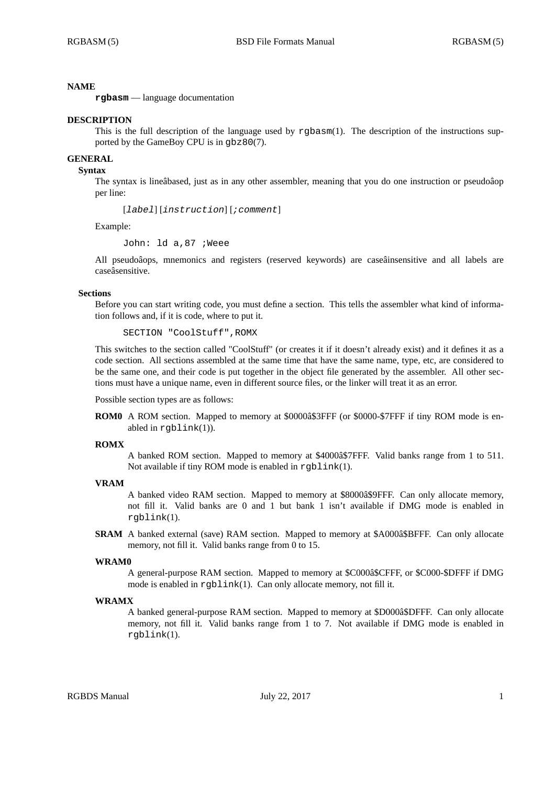# **NAME**

**rgbasm** — language documentation

## **DESCRIPTION**

This is the full description of the language used by rgbasm(1). The description of the instructions supported by the GameBoy CPU is in gbz80(7).

# **GENERAL**

# **Syntax**

The syntax is lineâbased, just as in any other assembler, meaning that you do one instruction or pseudoâop per line:

[*label*] [*instruction*] [*;comment*]

Example:

John: ld a,87 ;Weee

All pseudoâops, mnemonics and registers (reserved keywords) are caseâinsensitive and all labels are caseâsensitive.

## **Sections**

Before you can start writing code, you must define a section. This tells the assembler what kind of information follows and, if it is code, where to put it.

SECTION "CoolStuff",ROMX

This switches to the section called "CoolStuff" (or creates it if it doesn't already exist) and it defines it as a code section. All sections assembled at the same time that have the same name, type, etc, are considered to be the same one, and their code is put together in the object file generated by the assembler. All other sections must have a unique name, even in different source files, or the linker will treat it as an error.

Possible section types are as follows:

**ROM0** A ROM section. Mapped to memory at \$0000â\$3FFF (or \$0000-\$7FFF if tiny ROM mode is enabled in rgblink(1)).

### **ROMX**

A banked ROM section. Mapped to memory at \$4000â\$7FFF. Valid banks range from 1 to 511. Not available if tiny ROM mode is enabled in  $rqblink(1)$ .

## **VRAM**

A banked video RAM section. Mapped to memory at \$8000â\$9FFF. Can only allocate memory, not fill it. Valid banks are 0 and 1 but bank 1 isn't available if DMG mode is enabled in rgblink(1).

**SRAM** A banked external (save) RAM section. Mapped to memory at \$A000â\$BFFF. Can only allocate memory, not fill it. Valid banks range from 0 to 15.

#### **WRAM0**

A general-purpose RAM section. Mapped to memory at \$C000â\$CFFF, or \$C000-\$DFFF if DMG mode is enabled in rgblink(1). Can only allocate memory, not fill it.

### **WRAMX**

A banked general-purpose RAM section. Mapped to memory at \$D000â\$DFFF. Can only allocate memory, not fill it. Valid banks range from 1 to 7. Not available if DMG mode is enabled in rgblink(1).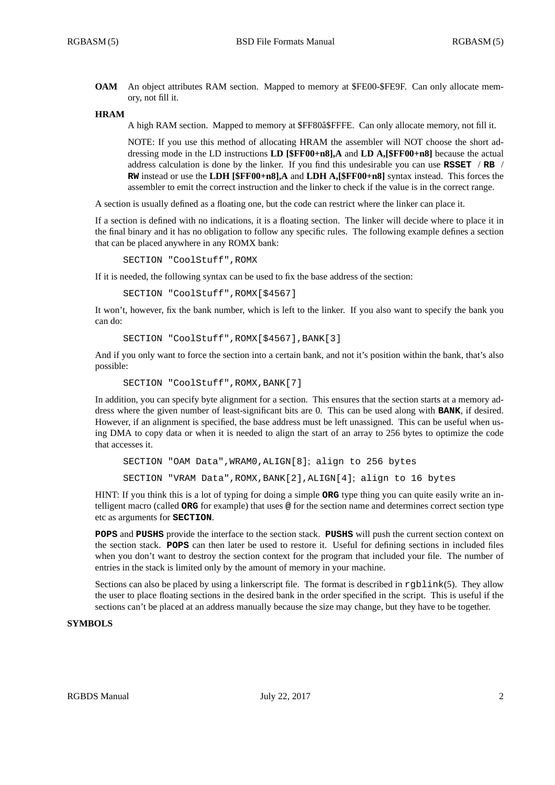**OAM** An object attributes RAM section. Mapped to memory at \$FE00-\$FE9F. Can only allocate memory, not fill it.

### **HRAM**

A high RAM section. Mapped to memory at \$FF80â\$FFFE. Can only allocate memory, not fill it.

NOTE: If you use this method of allocating HRAM the assembler will NOT choose the short addressing mode in the LD instructions **LD [\$FF00+n8],A** and **LD A,[\$FF00+n8]** because the actual address calculation is done by the linker. If you find this undesirable you can use **RSSET** / **RB** / **RW** instead or use the **LDH [\$FF00+n8],A** and **LDH A,[\$FF00+n8]** syntax instead. This forces the assembler to emit the correct instruction and the linker to check if the value is in the correct range.

A section is usually defined as a floating one, but the code can restrict where the linker can place it.

If a section is defined with no indications, it is a floating section. The linker will decide where to place it in the final binary and it has no obligation to follow any specific rules. The following example defines a section that can be placed anywhere in any ROMX bank:

SECTION "CoolStuff",ROMX

If it is needed, the following syntax can be used to fix the base address of the section:

SECTION "CoolStuff",ROMX[\$4567]

It won't, however, fix the bank number, which is left to the linker. If you also want to specify the bank you can do:

```
SECTION "CoolStuff",ROMX[$4567],BANK[3]
```
And if you only want to force the section into a certain bank, and not it's position within the bank, that's also possible:

```
SECTION "CoolStuff", ROMX, BANK[7]
```
In addition, you can specify byte alignment for a section. This ensures that the section starts at a memory address where the given number of least-significant bits are 0. This can be used along with **BANK**, if desired. However, if an alignment is specified, the base address must be left unassigned. This can be useful when using DMA to copy data or when it is needed to align the start of an array to 256 bytes to optimize the code that accesses it.

```
SECTION "OAM Data",WRAM0,ALIGN[8]; align to 256 bytes
SECTION "VRAM Data",ROMX,BANK[2],ALIGN[4]; align to 16 bytes
```
HINT: If you think this is a lot of typing for doing a simple **ORG** type thing you can quite easily write an intelligent macro (called **ORG** for example) that uses **@** for the section name and determines correct section type etc as arguments for **SECTION**.

**POPS** and **PUSHS** provide the interface to the section stack. **PUSHS** will push the current section context on the section stack. **POPS** can then later be used to restore it. Useful for defining sections in included files when you don't want to destroy the section context for the program that included your file. The number of entries in the stack is limited only by the amount of memory in your machine.

Sections can also be placed by using a linkerscript file. The format is described in rgblink(5). They allow the user to place floating sections in the desired bank in the order specified in the script. This is useful if the sections can't be placed at an address manually because the size may change, but they have to be together.

# **SYMBOLS**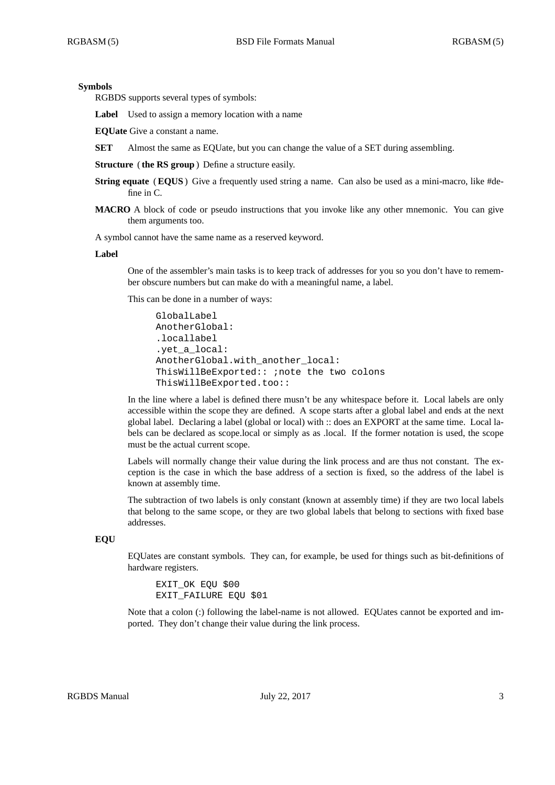## **Symbols**

RGBDS supports several types of symbols:

Label Used to assign a memory location with a name

**EQUate** Give a constant a name.

**SET** Almost the same as EQUate, but you can change the value of a SET during assembling.

**Structure** ( **the RS group**) Define a structure easily.

- **String equate** (**EQUS**) Give a frequently used string a name. Can also be used as a mini-macro, like #define in C.
- **MACRO** A block of code or pseudo instructions that you invoke like any other mnemonic. You can give them arguments too.

A symbol cannot have the same name as a reserved keyword.

### **Label**

One of the assembler's main tasks is to keep track of addresses for you so you don't have to remember obscure numbers but can make do with a meaningful name, a label.

This can be done in a number of ways:

```
GlobalLabel
AnotherGlobal:
.locallabel
.yet_a_local:
AnotherGlobal.with_another_local:
ThisWillBeExported:: ;note the two colons
ThisWillBeExported.too::
```
In the line where a label is defined there musn't be any whitespace before it. Local labels are only accessible within the scope they are defined. A scope starts after a global label and ends at the next global label. Declaring a label (global or local) with :: does an EXPORT at the same time. Local labels can be declared as scope.local or simply as as .local. If the former notation is used, the scope must be the actual current scope.

Labels will normally change their value during the link process and are thus not constant. The exception is the case in which the base address of a section is fixed, so the address of the label is known at assembly time.

The subtraction of two labels is only constant (known at assembly time) if they are two local labels that belong to the same scope, or they are two global labels that belong to sections with fixed base addresses.

# **EQU**

EQUates are constant symbols. They can, for example, be used for things such as bit-definitions of hardware registers.

EXIT\_OK EQU \$00 EXIT FAILURE EQU \$01

Note that a colon (:) following the label-name is not allowed. EQUates cannot be exported and imported. They don't change their value during the link process.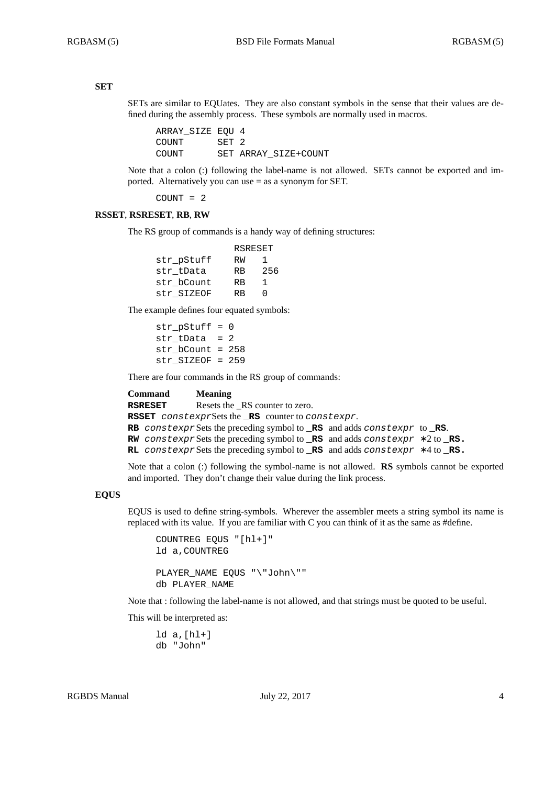# **SET**

SETs are similar to EQUates. They are also constant symbols in the sense that their values are defined during the assembly process. These symbols are normally used in macros.

ARRAY\_SIZE EQU 4 COUNT SET 2 COUNT SET ARRAY\_SIZE+COUNT

Note that a colon (:) following the label-name is not allowed. SETs cannot be exported and imported. Alternatively you can use = as a synonym for SET.

COUNT = 2

## **RSSET**, **RSRESET**, **RB**, **RW**

The RS group of commands is a handy way of defining structures:

|            | RSRESET   |     |
|------------|-----------|-----|
| str pStuff | RW        | ı.  |
| str tData  | <b>RB</b> | 256 |
| str bCount | <b>RB</b> | 1   |
| str SIZEOF | RR        | ∩   |

The example defines four equated symbols:

str  $pStuff = 0$ str  $tData = 2$ str\_bCount = 258 str\_SIZEOF = 259

There are four commands in the RS group of commands:

| Command | <b>Meaning</b>                                                                                             |  |
|---------|------------------------------------------------------------------------------------------------------------|--|
| RSRESET | Resets the RS counter to zero.                                                                             |  |
|         | <b>RSSET</b> constexpr $S$ ets the $RS$ counter to constexpr.                                              |  |
|         | <b>RB</b> constexpr Sets the preceding symbol to $\Box$ <b>RS</b> and adds constexpr to $\Box$ <b>RS</b> . |  |
|         | <b>RW</b> constexpr Sets the preceding symbol to <b>RS</b> and adds constexpr $*2$ to <b>RS</b> .          |  |
|         | RL constexpr Sets the preceding symbol to RS and adds constexpr $*4$ to RS.                                |  |
|         |                                                                                                            |  |

Note that a colon (:) following the symbol-name is not allowed. **RS** symbols cannot be exported and imported. They don't change their value during the link process.

## **EQUS**

EQUS is used to define string-symbols. Wherever the assembler meets a string symbol its name is replaced with its value. If you are familiar with C you can think of it as the same as #define.

```
COUNTREG EQUS "[hl+]"
ld a,COUNTREG
PLAYER_NAME EQUS "\"John\""
db PLAYER_NAME
```
Note that : following the label-name is not allowed, and that strings must be quoted to be useful.

This will be interpreted as:

ld a,[hl+] db "John"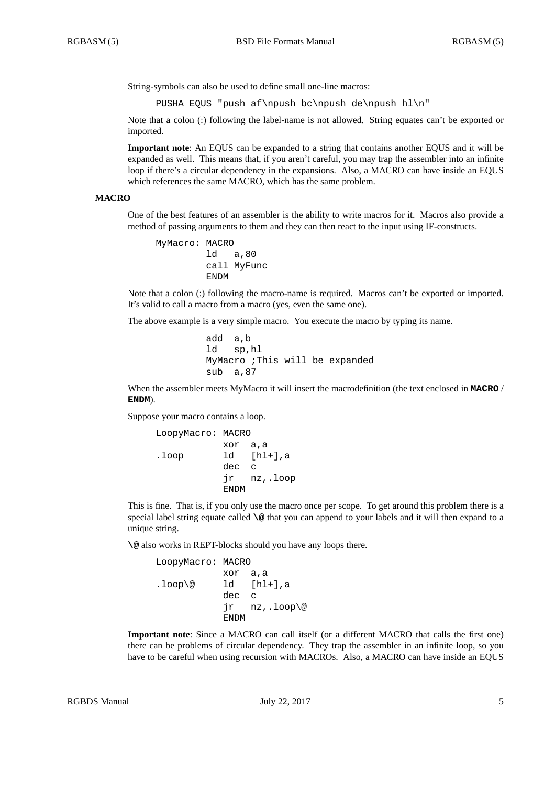String-symbols can also be used to define small one-line macros:

PUSHA EQUS "push af\npush bc\npush de\npush hl\n"

Note that a colon (:) following the label-name is not allowed. String equates can't be exported or imported.

**Important note**: An EQUS can be expanded to a string that contains another EQUS and it will be expanded as well. This means that, if you aren't careful, you may trap the assembler into an infinite loop if there's a circular dependency in the expansions. Also, a MACRO can have inside an EQUS which references the same MACRO, which has the same problem.

### **MACRO**

One of the best features of an assembler is the ability to write macros for it. Macros also provide a method of passing arguments to them and they can then react to the input using IF-constructs.

```
MyMacro: MACRO
         ld a,80
        call MyFunc
         ENDM
```
Note that a colon (:) following the macro-name is required. Macros can't be exported or imported. It's valid to call a macro from a macro (yes, even the same one).

The above example is a very simple macro. You execute the macro by typing its name.

```
add a,b
ld sp,hl
MyMacro ;This will be expanded
sub a,87
```
When the assembler meets MyMacro it will insert the macrodefinition (the text enclosed in **MACRO** / **ENDM**).

Suppose your macro contains a loop.

```
LoopyMacro: MACRO
          xor a,a
.loop ld [hl+],a
          dec c
          jr nz,.loop
          ENDM
```
This is fine. That is, if you only use the macro once per scope. To get around this problem there is a special label string equate called **\@** that you can append to your labels and it will then expand to a unique string.

**\@** also works in REPT-blocks should you have any loops there.

```
LoopyMacro: MACRO
          xor a,a
lloop@ ld [hl+], a
          dec c
           jr nz,.loop\@
          ENDM
```
**Important note**: Since a MACRO can call itself (or a different MACRO that calls the first one) there can be problems of circular dependency. They trap the assembler in an infinite loop, so you have to be careful when using recursion with MACROs. Also, a MACRO can have inside an EQUS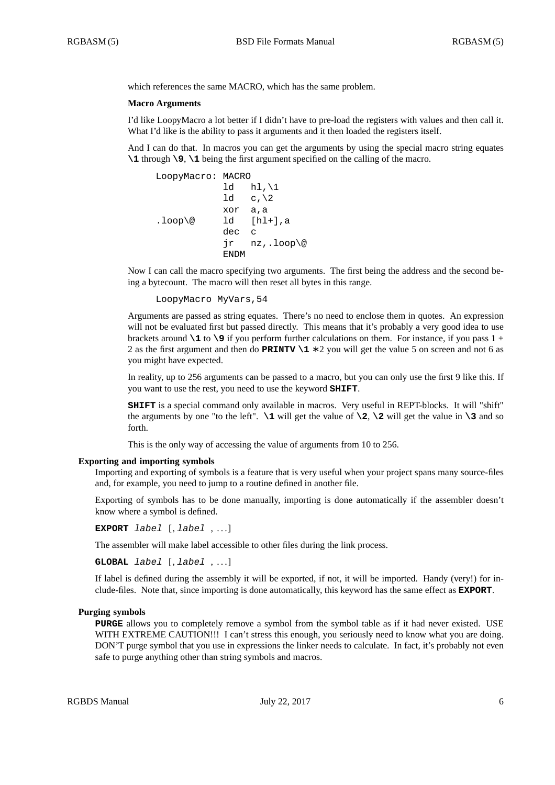which references the same MACRO, which has the same problem.

### **Macro Arguments**

I'd like LoopyMacro a lot better if I didn't have to pre-load the registers with values and then call it. What I'd like is the ability to pass it arguments and it then loaded the registers itself.

And I can do that. In macros you can get the arguments by using the special macro string equates **\1** through **\9**, **\1** being the first argument specified on the calling of the macro.

```
LoopyMacro: MACRO
           ld hl, \1
           1d c, \lambdaxor a,a
.loop\@ ld [hl+],a
           dec c
           jr nz,.loop\@
           ENDM
```
Now I can call the macro specifying two arguments. The first being the address and the second being a bytecount. The macro will then reset all bytes in this range.

```
LoopyMacro MyVars,54
```
Arguments are passed as string equates. There's no need to enclose them in quotes. An expression will not be evaluated first but passed directly. This means that it's probably a very good idea to use brackets around **\1** to **\9** if you perform further calculations on them. For instance, if you pass 1 + 2 as the first argument and then do **PRINTV \1** ∗ 2 you will get the value 5 on screen and not 6 as you might have expected.

In reality, up to 256 arguments can be passed to a macro, but you can only use the first 9 like this. If you want to use the rest, you need to use the keyword **SHIFT**.

**SHIFT** is a special command only available in macros. Very useful in REPT-blocks. It will "shift" the arguments by one "to the left".  $\setminus$ 1 will get the value of  $\setminus$ 2,  $\setminus$ 2 will get the value in  $\setminus$ 3 and so forth.

This is the only way of accessing the value of arguments from 10 to 256.

### **Exporting and importing symbols**

Importing and exporting of symbols is a feature that is very useful when your project spans many source-files and, for example, you need to jump to a routine defined in another file.

Exporting of symbols has to be done manually, importing is done automatically if the assembler doesn't know where a symbol is defined.

**EXPORT** *label* [, *label* , . . . ]

The assembler will make label accessible to other files during the link process.

**GLOBAL** *label* [, *label* , . . . ]

If label is defined during the assembly it will be exported, if not, it will be imported. Handy (very!) for include-files. Note that, since importing is done automatically, this keyword has the same effect as **EXPORT**.

### **Purging symbols**

**PURGE** allows you to completely remove a symbol from the symbol table as if it had never existed. USE WITH EXTREME CAUTION!!! I can't stress this enough, you seriously need to know what you are doing. DON'T purge symbol that you use in expressions the linker needs to calculate. In fact, it's probably not even safe to purge anything other than string symbols and macros.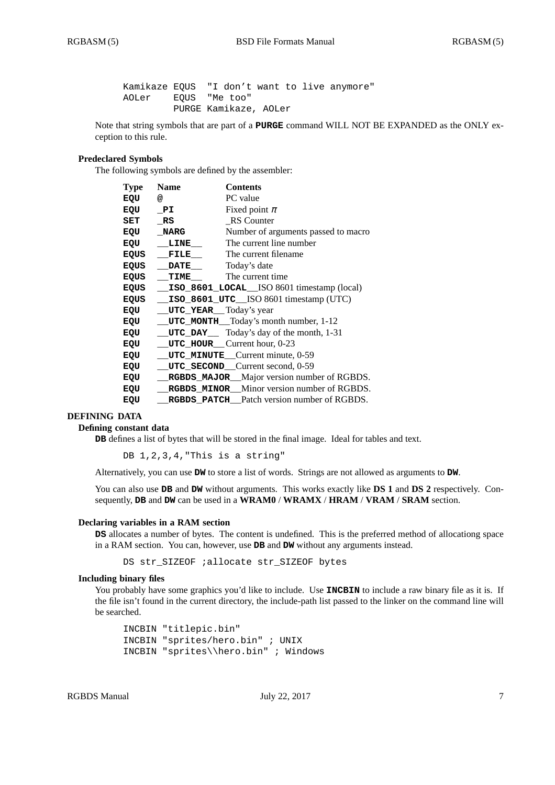Kamikaze EQUS "I don't want to live anymore" AOLer EQUS "Me too" PURGE Kamikaze, AOLer

Note that string symbols that are part of a **PURGE** command WILL NOT BE EXPANDED as the ONLY exception to this rule.

# **Predeclared Symbols**

The following symbols are defined by the assembler:

| <b>Type</b> | <b>Contents</b><br><b>Name</b>                     |  |
|-------------|----------------------------------------------------|--|
| EQU         | PC value<br>@                                      |  |
| EQU         | Fixed point $\pi$<br>PI                            |  |
| SET         | RS Counter<br>RS                                   |  |
| EQU         | Number of arguments passed to macro<br><b>NARG</b> |  |
| EQU         | The current line number<br>LINE                    |  |
| <b>EQUS</b> | The current filename<br>FILE                       |  |
| EQUS        | Today's date<br><b>DATE</b>                        |  |
| EQUS        | The current time<br>TIME                           |  |
| <b>EQUS</b> | ISO_8601_LOCAL_ISO 8601 timestamp (local)          |  |
| EQUS        | ISO_8601_UTC__ISO 8601 timestamp (UTC)             |  |
| EQU         | <b>UTC YEAR</b> Today's year                       |  |
| EQU         | <b>UTC_MONTH__Today's month number, 1-12</b>       |  |
| EQU         | <b>UTC_DAY</b> Today's day of the month, 1-31      |  |
| EQU         | UTC_HOUR_Current hour, 0-23                        |  |
| EQU         | UTC_MINUTE_Current minute, 0-59                    |  |
| EQU         | UTC_SECOND_Current second, 0-59                    |  |
| EQU         | RGBDS_MAJOR_Major version number of RGBDS.         |  |
| EQU         | RGBDS_MINOR_Minor version number of RGBDS.         |  |
| EQU         | <b>RGBDS_PATCH_Patch version number of RGBDS.</b>  |  |

## **DEFINING DATA**

## **Defining constant data**

**DB** defines a list of bytes that will be stored in the final image. Ideal for tables and text.

DB 1, 2, 3, 4, "This is a string"

Alternatively, you can use **DW** to store a list of words. Strings are not allowed as arguments to **DW**.

You can also use **DB** and **DW** without arguments. This works exactly like **DS 1** and **DS 2** respectively. Consequently, **DB** and **DW** can be used in a **WRAM0** / **WRAMX** / **HRAM** / **VRAM** / **SRAM** section.

#### **Declaring variables in a RAM section**

**DS** allocates a number of bytes. The content is undefined. This is the preferred method of allocationg space in a RAM section. You can, however, use **DB** and **DW** without any arguments instead.

DS str\_SIZEOF ;allocate str\_SIZEOF bytes

# **Including binary files**

You probably have some graphics you'd like to include. Use **INCBIN** to include a raw binary file as it is. If the file isn't found in the current directory, the include-path list passed to the linker on the command line will be searched.

```
INCBIN "titlepic.bin"
INCBIN "sprites/hero.bin" ; UNIX
INCBIN "sprites\\hero.bin" ; Windows
```
RGBDS Manual July 22, 2017 7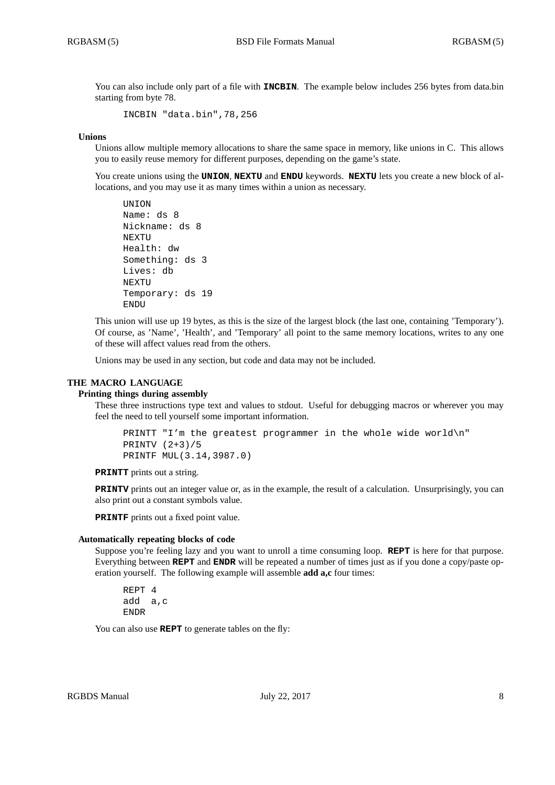You can also include only part of a file with **INCBIN**. The example below includes 256 bytes from data.bin starting from byte 78.

INCBIN "data.bin",78,256

### **Unions**

Unions allow multiple memory allocations to share the same space in memory, like unions in C. This allows you to easily reuse memory for different purposes, depending on the game's state.

You create unions using the **UNION**, **NEXTU** and **ENDU** keywords. **NEXTU** lets you create a new block of allocations, and you may use it as many times within a union as necessary.

```
UNION
Name: ds 8
Nickname: ds 8
NEXTU
Health: dw
Something: ds 3
Lives: db
NEXTU
Temporary: ds 19
ENDU
```
This union will use up 19 bytes, as this is the size of the largest block (the last one, containing 'Temporary'). Of course, as 'Name', 'Health', and 'Temporary' all point to the same memory locations, writes to any one of these will affect values read from the others.

Unions may be used in any section, but code and data may not be included.

## **THE MACRO LANGUAGE**

### **Printing things during assembly**

These three instructions type text and values to stdout. Useful for debugging macros or wherever you may feel the need to tell yourself some important information.

```
PRINTT "I'm the greatest programmer in the whole wide world\n"
PRINTV (2+3)/5
PRINTF MUL(3.14,3987.0)
```
**PRINTT** prints out a string.

**PRINTV** prints out an integer value or, as in the example, the result of a calculation. Unsurprisingly, you can also print out a constant symbols value.

**PRINTF** prints out a fixed point value.

### **Automatically repeating blocks of code**

Suppose you're feeling lazy and you want to unroll a time consuming loop. **REPT** is here for that purpose. Everything between **REPT** and **ENDR** will be repeated a number of times just as if you done a copy/paste operation yourself. The following example will assemble **add a,c** four times:

REPT 4 add a,c ENDR

You can also use **REPT** to generate tables on the fly: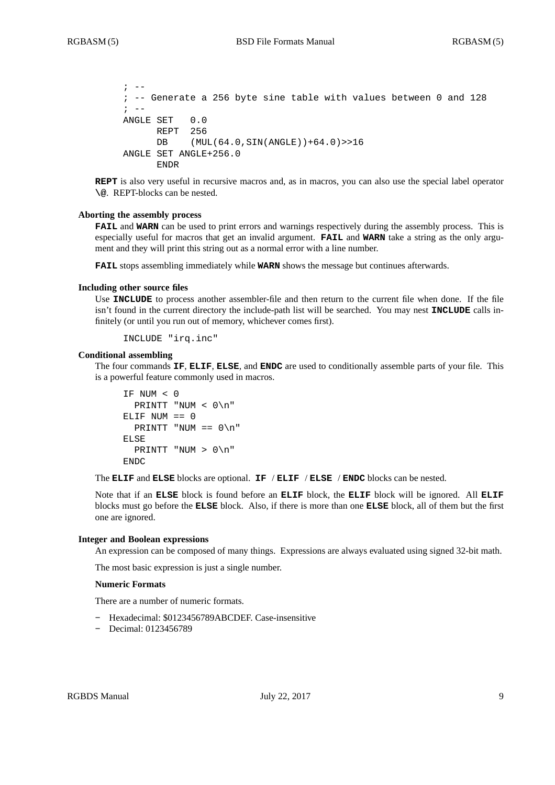```
\mathbf{r} \mathbf{r} \mathbf{r}; -- Generate a 256 byte sine table with values between 0 and 128
\mathbf{i} \quad -ANGLE SET 0.0
       REPT 256
       DB (MUL(64.0,SIN(ANGLE))+64.0)>>16
ANGLE SET ANGLE+256.0
       ENDR
```
**REPT** is also very useful in recursive macros and, as in macros, you can also use the special label operator **\@**. REPT-blocks can be nested.

### **Aborting the assembly process**

**FAIL** and **WARN** can be used to print errors and warnings respectively during the assembly process. This is especially useful for macros that get an invalid argument. **FAIL** and **WARN** take a string as the only argument and they will print this string out as a normal error with a line number.

**FAIL** stops assembling immediately while **WARN** shows the message but continues afterwards.

### **Including other source files**

Use **INCLUDE** to process another assembler-file and then return to the current file when done. If the file isn't found in the current directory the include-path list will be searched. You may nest **INCLUDE** calls infinitely (or until you run out of memory, whichever comes first).

INCLUDE "irq.inc"

### **Conditional assembling**

The four commands **IF**, **ELIF**, **ELSE**, and **ENDC** are used to conditionally assemble parts of your file. This is a powerful feature commonly used in macros.

```
IF NUM < 0
  PRINTT "NUM < 0\n"
ELIF NUM == 0PRINTT "NUM == 0 \n\cdot n"
ELSE
  PRINTT "NUM > 0\n"
ENDC
```
The **ELIF** and **ELSE** blocks are optional. **IF** / **ELIF** / **ELSE** / **ENDC** blocks can be nested.

Note that if an **ELSE** block is found before an **ELIF** block, the **ELIF** block will be ignored. All **ELIF** blocks must go before the **ELSE** block. Also, if there is more than one **ELSE** block, all of them but the first one are ignored.

### **Integer and Boolean expressions**

An expression can be composed of many things. Expressions are always evaluated using signed 32-bit math.

The most basic expression is just a single number.

## **Numeric Formats**

There are a number of numeric formats.

- **-** Hexadecimal: \$0123456789ABCDEF. Case-insensitive
- **-** Decimal: 0123456789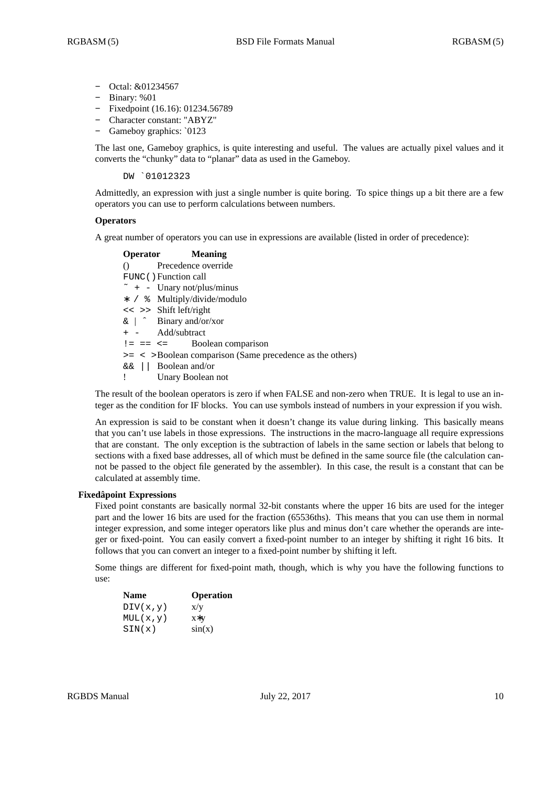- **-** Octal: &01234567
- **-** Binary: %01
- **-** Fixedpoint (16.16): 01234.56789
- **-** Character constant: "ABYZ"
- **-** Gameboy graphics: `0123

The last one, Gameboy graphics, is quite interesting and useful. The values are actually pixel values and it converts the "chunky" data to "planar" data as used in the Gameboy.

DW `01012323

Admittedly, an expression with just a single number is quite boring. To spice things up a bit there are a few operators you can use to perform calculations between numbers.

# **Operators**

A great number of operators you can use in expressions are available (listed in order of precedence):

| <b>Operator</b> Meaning                                        |
|----------------------------------------------------------------|
| () Precedence override                                         |
| FUNC () Function call                                          |
| $\tilde{}$ + - Unary not/plus/minus                            |
| * / % Multiply/divide/modulo                                   |
| << >> Shift left/right                                         |
| $\&$   $\hat{ }$ Binary and/or/xor                             |
| + - Add/subtract                                               |
| $!=$ $==$ $<=$ Boolean comparison                              |
| $>=$ $\lt$ >Boolean comparison (Same precedence as the others) |
| $\&\&$   Boolean and/or                                        |
| ! Unary Boolean not                                            |
|                                                                |

The result of the boolean operators is zero if when FALSE and non-zero when TRUE. It is legal to use an integer as the condition for IF blocks. You can use symbols instead of numbers in your expression if you wish.

An expression is said to be constant when it doesn't change its value during linking. This basically means that you can't use labels in those expressions. The instructions in the macro-language all require expressions that are constant. The only exception is the subtraction of labels in the same section or labels that belong to sections with a fixed base addresses, all of which must be defined in the same source file (the calculation cannot be passed to the object file generated by the assembler). In this case, the result is a constant that can be calculated at assembly time.

## **Fixedâpoint Expressions**

Fixed point constants are basically normal 32-bit constants where the upper 16 bits are used for the integer part and the lower 16 bits are used for the fraction (65536ths). This means that you can use them in normal integer expression, and some integer operators like plus and minus don't care whether the operands are integer or fixed-point. You can easily convert a fixed-point number to an integer by shifting it right 16 bits. It follows that you can convert an integer to a fixed-point number by shifting it left.

Some things are different for fixed-point math, though, which is why you have the following functions to use:

| <b>Name</b> | <b>Operation</b> |
|-------------|------------------|
| DIV(x,y)    | X/V              |
| MUL(x,y)    | $X^*V$           |
| SIN(x)      | sin(x)           |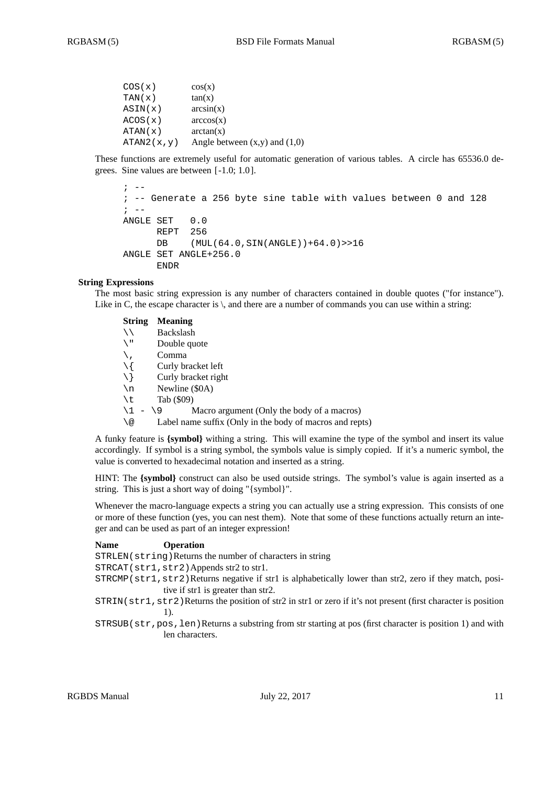| COS(x)     | cos(x)                            |
|------------|-----------------------------------|
| TAN(x)     | tan(x)                            |
| ASIN(x)    | arcsin(x)                         |
| ACOS(x)    | arccos(x)                         |
| ATAN(x)    | arctan(x)                         |
| ATAN2(x,y) | Angle between $(x,y)$ and $(1,0)$ |

These functions are extremely useful for automatic generation of various tables. A circle has 65536.0 degrees. Sine values are between [ -1.0; 1.0 ].

```
\mathbf{r} \mathbf{r} \mathbf{r}; -- Generate a 256 byte sine table with values between 0 and 128
\mathbf{r} \mathbf{r} \mathbf{r}ANGLE SET 0.0
       REPT 256
       DB (MUL(64.0,SIN(ANGLE))+64.0)>>16
ANGLE SET ANGLE+256.0
       ENDR
```
## **String Expressions**

The most basic string expression is any number of characters contained in double quotes ("for instance"). Like in C, the escape character is  $\setminus$ , and there are a number of commands you can use within a string:

## **String Meaning**

|             | <b>Backslash</b>                                         |
|-------------|----------------------------------------------------------|
| ∖ ‼         | Double quote                                             |
|             | Comma                                                    |
| $\setminus$ | Curly bracket left                                       |
| \ }         | Curly bracket right                                      |
| \n          | Newline (\$0A)                                           |
| \t          | Tab (\$09)                                               |
| \1          | Macro argument (Only the body of a macros)<br>$-19$      |
| ∖@          | Label name suffix (Only in the body of macros and repts) |
|             |                                                          |

A funky feature is **{symbol}** withing a string. This will examine the type of the symbol and insert its value accordingly. If symbol is a string symbol, the symbols value is simply copied. If it's a numeric symbol, the value is converted to hexadecimal notation and inserted as a string.

HINT: The **{symbol}** construct can also be used outside strings. The symbol's value is again inserted as a string. This is just a short way of doing "{symbol}".

Whenever the macro-language expects a string you can actually use a string expression. This consists of one or more of these function (yes, you can nest them). Note that some of these functions actually return an integer and can be used as part of an integer expression!

## **Name Operation**

STRLEN(string)Returns the number of characters in string

STRCAT(str1,str2)Appends str2 to str1.

- STRCMP(str1,str2)Returns negative if str1 is alphabetically lower than str2, zero if they match, positive if str1 is greater than str2.
- STRIN(str1,str2)Returns the position of str2 in str1 or zero if it's not present (first character is position 1).
- STRSUB(str,pos,len)Returns a substring from str starting at pos (first character is position 1) and with len characters.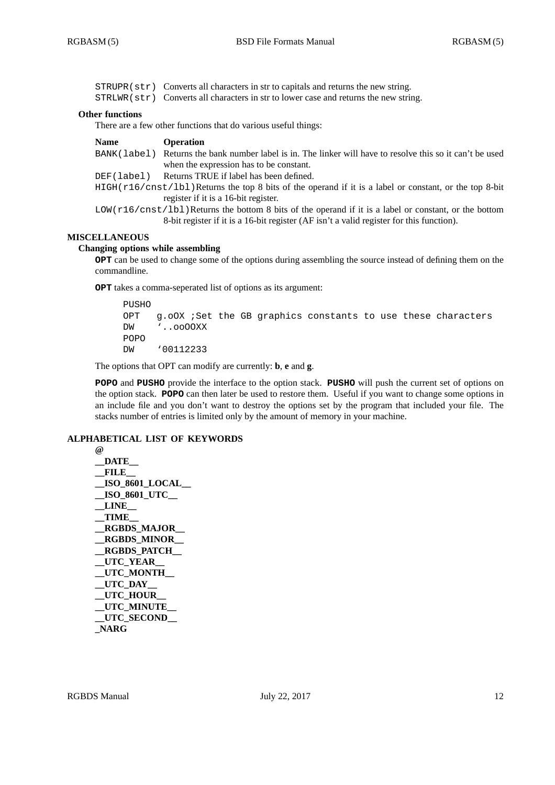STRUPR(str) Converts all characters in str to capitals and returns the new string. STRLWR(str) Converts all characters in str to lower case and returns the new string.

### **Other functions**

There are a few other functions that do various useful things:

| <b>Name</b> | <b>Operation</b>                                                                                          |
|-------------|-----------------------------------------------------------------------------------------------------------|
| BANK(label) | Returns the bank number label is in. The linker will have to resolve this so it can't be used             |
|             | when the expression has to be constant.                                                                   |
| DEF(label)  | Returns TRUE if label has been defined.                                                                   |
|             | $HIGH(r16/cnst/1b1)$ Returns the top 8 bits of the operand if it is a label or constant, or the top 8-bit |
|             | register if it is a 16-bit register.                                                                      |
|             |                                                                                                           |

LOW( $r16/cnst/1bl$ )Returns the bottom 8 bits of the operand if it is a label or constant, or the bottom 8-bit register if it is a 16-bit register (AF isn't a valid register for this function).

### **MISCELLANEOUS**

## **Changing options while assembling**

**OPT** can be used to change some of the options during assembling the source instead of defining them on the commandline.

**OPT** takes a comma-seperated list of options as its argument:

```
PUSHO
OPT g.oOX ; Set the GB graphics constants to use these characters
DW '..ooOOXX
POPO
DW '00112233
```
The options that OPT can modify are currently: **b**, **e** and **g**.

**POPO** and **PUSHO** provide the interface to the option stack. **PUSHO** will push the current set of options on the option stack. **POPO** can then later be used to restore them. Useful if you want to change some options in an include file and you don't want to destroy the options set by the program that included your file. The stacks number of entries is limited only by the amount of memory in your machine.

# **ALPHABETICAL LIST OF KEYWORDS**

```
@
__DATE__
__FILE__
__ISO_8601_LOCAL__
 __ISO_8601_UTC__
 __LINE__
 __TIME__
 __RGBDS_MAJOR__
 __RGBDS_MINOR__
 __RGBDS_PATCH__
 __UTC_YEAR__
 __UTC_MONTH__
 __UTC_DAY__
 UTC_HOUR
 __UTC_MINUTE__
 __UTC_SECOND__
_NARG
```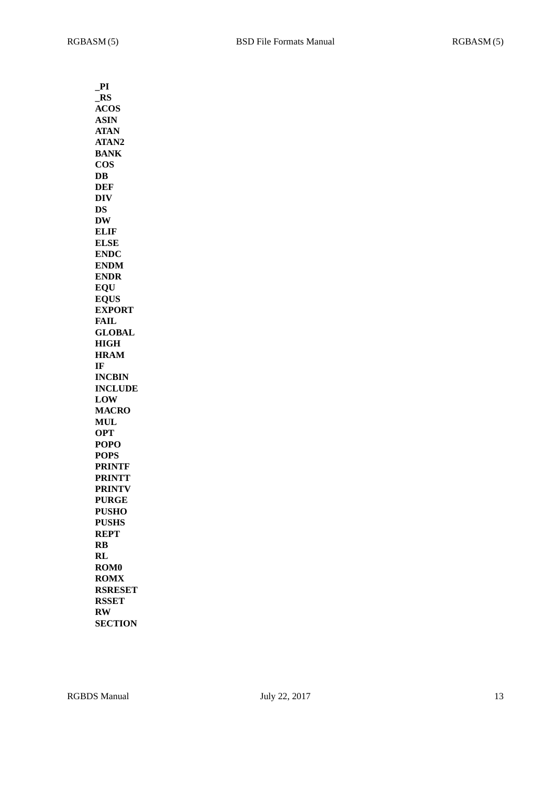| $\_PI$                  |
|-------------------------|
| R <sub>S</sub>          |
| <b>ACOS</b>             |
| <b>ASIN</b>             |
| <b>ATAN</b>             |
| ATAN2                   |
| <b>BANK</b>             |
| <b>COS</b>              |
| $\overline{\text{DB}}$  |
| <b>DEF</b>              |
| <b>DIV</b>              |
| DS                      |
| <b>DW</b>               |
| <b>ELIF</b>             |
| <b>ELSE</b>             |
| <b>ENDC</b>             |
| <b>ENDM</b>             |
| <b>ENDR</b>             |
| <b>EQU</b>              |
| <b>EQUS</b>             |
| <b>EXPORT</b>           |
| <b>FAIL</b>             |
| <b>GLOBAL</b>           |
| <b>HIGH</b>             |
|                         |
| <b>HRAM</b>             |
| IF                      |
| <b>INCBIN</b>           |
| <b>INCLUDE</b>          |
| LOW                     |
| <b>MACRO</b>            |
| <b>MUL</b>              |
| <b>OPT</b>              |
| <b>POPO</b>             |
| <b>POPS</b>             |
| <b>PRINTF</b>           |
| <b>PRINTT</b>           |
| <b>PRINTV</b>           |
| <b>PURGE</b>            |
| <b>PUSHO</b>            |
| <b>PUSHS</b>            |
| <b>REPT</b>             |
| $\overline{\mathbf{R}}$ |
| RL                      |
| <b>ROM0</b>             |
| <b>ROMX</b>             |
| <b>RSRESET</b>          |
| <b>RSSET</b>            |
| <b>RW</b>               |
| <b>SECTION</b>          |